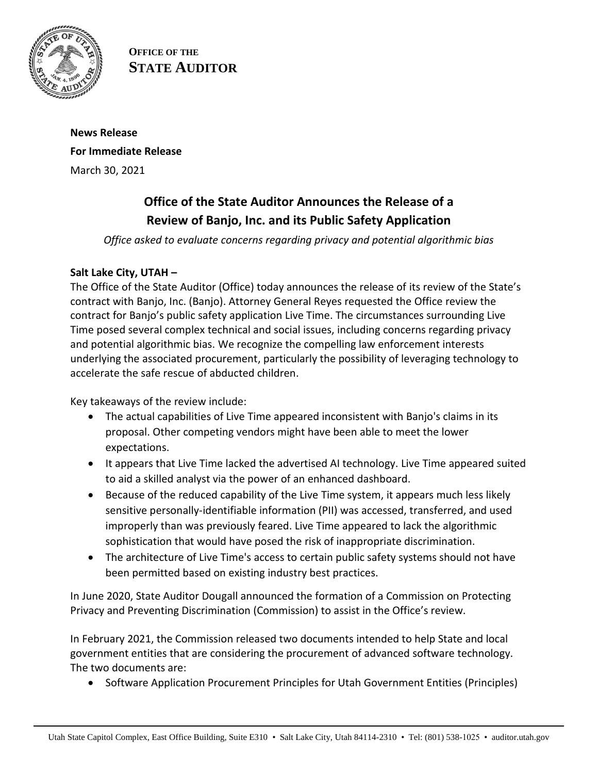

**OFFICE OF THE STATE AUDITOR**

# **News Release For Immediate Release** March 30, 2021

# **Office of the State Auditor Announces the Release of a Review of Banjo, Inc. and its Public Safety Application**

*Office asked to evaluate concerns regarding privacy and potential algorithmic bias* 

## **Salt Lake City, UTAH –**

The Office of the State Auditor (Office) today announces the release of its review of the State's contract with Banjo, Inc. (Banjo). Attorney General Reyes requested the Office review the contract for Banjo's public safety application Live Time. The circumstances surrounding Live Time posed several complex technical and social issues, including concerns regarding privacy and potential algorithmic bias. We recognize the compelling law enforcement interests underlying the associated procurement, particularly the possibility of leveraging technology to accelerate the safe rescue of abducted children.

Key takeaways of the review include:

- The actual capabilities of Live Time appeared inconsistent with Banjo's claims in its proposal. Other competing vendors might have been able to meet the lower expectations.
- It appears that Live Time lacked the advertised AI technology. Live Time appeared suited to aid a skilled analyst via the power of an enhanced dashboard.
- Because of the reduced capability of the Live Time system, it appears much less likely sensitive personally-identifiable information (PII) was accessed, transferred, and used improperly than was previously feared. Live Time appeared to lack the algorithmic sophistication that would have posed the risk of inappropriate discrimination.
- The architecture of Live Time's access to certain public safety systems should not have been permitted based on existing industry best practices.

In June 2020, State Auditor Dougall announced the formation of a Commission on Protecting Privacy and Preventing Discrimination (Commission) to assist in the Office's review.

In February 2021, the Commission released two documents intended to help State and local government entities that are considering the procurement of advanced software technology. The two documents are:

• Software Application Procurement Principles for Utah Government Entities (Principles)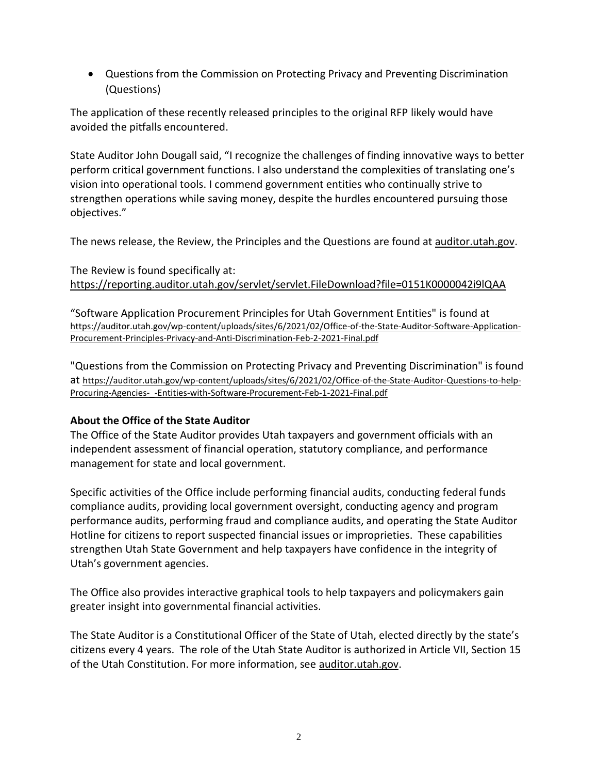Questions from the Commission on Protecting Privacy and Preventing Discrimination (Questions)

The application of these recently released principles to the original RFP likely would have avoided the pitfalls encountered.

State Auditor John Dougall said, "I recognize the challenges of finding innovative ways to better perform critical government functions. I also understand the complexities of translating one's vision into operational tools. I commend government entities who continually strive to strengthen operations while saving money, despite the hurdles encountered pursuing those objectives."

The news release, the Review, the Principles and the Questions are found at [auditor.utah.gov.](https://auditor.utah.gov/news/)

### The Review is found specifically at: <https://reporting.auditor.utah.gov/servlet/servlet.FileDownload?file=0151K0000042i9lQAA>

"Software Application Procurement Principles for Utah Government Entities" is found at [https://auditor.utah.gov/wp-content/uploads/sites/6/2021/02/Office-of-the-State-Auditor-Software-Application-](https://auditor.utah.gov/wp-content/uploads/sites/6/2021/02/Office-of-the-State-Auditor-Software-Application-Procurement-Principles-Privacy-and-Anti-Discrimination-Feb-2-2021-Final.pdf)[Procurement-Principles-Privacy-and-Anti-Discrimination-Feb-2-2021-Final.pdf](https://auditor.utah.gov/wp-content/uploads/sites/6/2021/02/Office-of-the-State-Auditor-Software-Application-Procurement-Principles-Privacy-and-Anti-Discrimination-Feb-2-2021-Final.pdf)

"Questions from the Commission on Protecting Privacy and Preventing Discrimination" is found at [https://auditor.utah.gov/wp-content/uploads/sites/6/2021/02/Office-of-the-State-Auditor-Questions-to-help-](https://auditor.utah.gov/wp-content/uploads/sites/6/2021/02/Office-of-the-State-Auditor-Questions-to-help-Procuring-Agencies-_-Entities-with-Software-Procurement-Feb-1-2021-Final.pdf)Procuring-Agencies- -Entities-with-Software-Procurement-Feb-1-2021-Final.pdf

### **About the Office of the State Auditor**

The Office of the State Auditor provides Utah taxpayers and government officials with an independent assessment of financial operation, statutory compliance, and performance management for state and local government.

Specific activities of the Office include performing financial audits, conducting federal funds compliance audits, providing local government oversight, conducting agency and program performance audits, performing fraud and compliance audits, and operating the State Auditor Hotline for citizens to report suspected financial issues or improprieties. These capabilities strengthen Utah State Government and help taxpayers have confidence in the integrity of Utah's government agencies.

The Office also provides interactive graphical tools to help taxpayers and policymakers gain greater insight into governmental financial activities.

The State Auditor is a Constitutional Officer of the State of Utah, elected directly by the state's citizens every 4 years. The role of the Utah State Auditor is authorized in Article VII, Section 15 of the Utah Constitution. For more information, see [auditor.utah.gov.](http://auditor.utah.gov/)